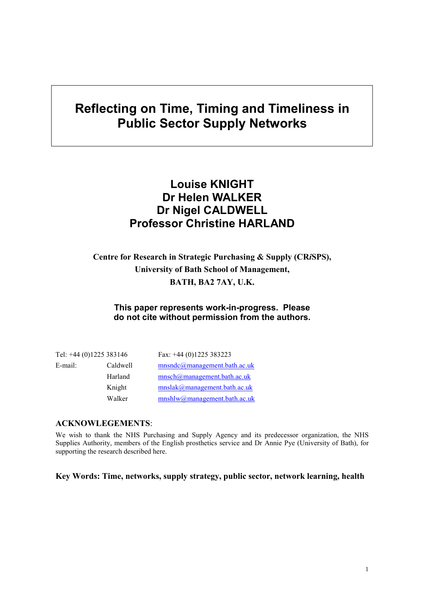# **Reflecting on Time, Timing and Timeliness in Public Sector Supply Networks**

## **Louise KNIGHT Dr Helen WALKER Dr Nigel CALDWELL Professor Christine HARLAND**

## **Centre for Research in Strategic Purchasing & Supply (CR***i***SPS), University of Bath School of Management, BATH, BA2 7AY, U.K.**

#### **This paper represents work-in-progress. Please do not cite without permission from the authors.**

| Tel: +44 (0)1225 383146 |          | Fax: $+44$ (0)1225 383223    |
|-------------------------|----------|------------------------------|
| E-mail:                 | Caldwell | mnsndc@management.bath.ac.uk |
|                         | Harland  | mnsch@management.bath.ac.uk  |
|                         | Knight   | mnslak@management.bath.ac.uk |
|                         | Walker   | mnshlw@management.bath.ac.uk |

#### **ACKNOWLEGEMENTS**:

We wish to thank the NHS Purchasing and Supply Agency and its predecessor organization, the NHS Supplies Authority, members of the English prosthetics service and Dr Annie Pye (University of Bath), for supporting the research described here.

**Key Words: Time, networks, supply strategy, public sector, network learning, health**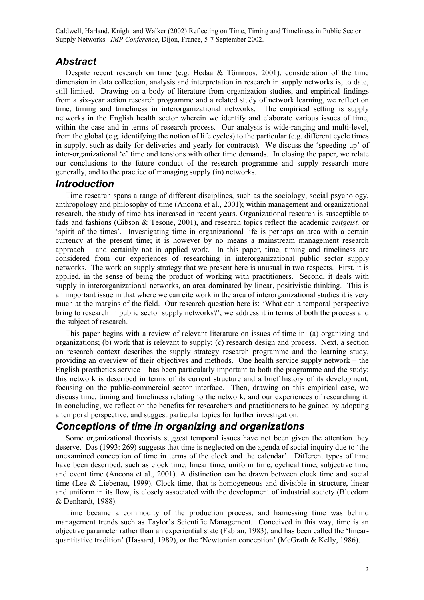## *Abstract*

Despite recent research on time (e.g. Hedaa & Törnroos, 2001), consideration of the time dimension in data collection, analysis and interpretation in research in supply networks is, to date, still limited. Drawing on a body of literature from organization studies, and empirical findings from a six-year action research programme and a related study of network learning, we reflect on time, timing and timeliness in interorganizational networks. The empirical setting is supply networks in the English health sector wherein we identify and elaborate various issues of time, within the case and in terms of research process. Our analysis is wide-ranging and multi-level, from the global (e.g. identifying the notion of life cycles) to the particular (e.g. different cycle times in supply, such as daily for deliveries and yearly for contracts). We discuss the 'speeding up' of inter-organizational 'e' time and tensions with other time demands. In closing the paper, we relate our conclusions to the future conduct of the research programme and supply research more generally, and to the practice of managing supply (in) networks.

#### *Introduction*

Time research spans a range of different disciplines, such as the sociology, social psychology, anthropology and philosophy of time (Ancona et al., 2001); within management and organizational research, the study of time has increased in recent years. Organizational research is susceptible to fads and fashions (Gibson & Tesone, 2001), and research topics reflect the academic *zeitgeist,* or 'spirit of the times'. Investigating time in organizational life is perhaps an area with a certain currency at the present time; it is however by no means a mainstream management research approach – and certainly not in applied work. In this paper, time, timing and timeliness are considered from our experiences of researching in interorganizational public sector supply networks. The work on supply strategy that we present here is unusual in two respects. First, it is applied, in the sense of being the product of working with practitioners. Second, it deals with supply in interorganizational networks, an area dominated by linear, positivistic thinking. This is an important issue in that where we can cite work in the area of interorganizational studies it is very much at the margins of the field. Our research question here is: 'What can a temporal perspective bring to research in public sector supply networks?'; we address it in terms of both the process and the subject of research.

This paper begins with a review of relevant literature on issues of time in: (a) organizing and organizations; (b) work that is relevant to supply; (c) research design and process. Next, a section on research context describes the supply strategy research programme and the learning study, providing an overview of their objectives and methods. One health service supply network – the English prosthetics service – has been particularly important to both the programme and the study; this network is described in terms of its current structure and a brief history of its development, focusing on the public-commercial sector interface. Then, drawing on this empirical case, we discuss time, timing and timeliness relating to the network, and our experiences of researching it. In concluding, we reflect on the benefits for researchers and practitioners to be gained by adopting a temporal perspective, and suggest particular topics for further investigation.

## *Conceptions of time in organizing and organizations*

Some organizational theorists suggest temporal issues have not been given the attention they deserve. Das (1993: 269) suggests that time is neglected on the agenda of social inquiry due to 'the unexamined conception of time in terms of the clock and the calendar'. Different types of time have been described, such as clock time, linear time, uniform time, cyclical time, subjective time and event time (Ancona et al., 2001). A distinction can be drawn between clock time and social time (Lee & Liebenau, 1999). Clock time, that is homogeneous and divisible in structure, linear and uniform in its flow, is closely associated with the development of industrial society (Bluedorn & Denhardt, 1988).

Time became a commodity of the production process, and harnessing time was behind management trends such as Taylor's Scientific Management. Conceived in this way, time is an objective parameter rather than an experiential state (Fabian, 1983), and has been called the 'linearquantitative tradition' (Hassard, 1989), or the 'Newtonian conception' (McGrath & Kelly, 1986).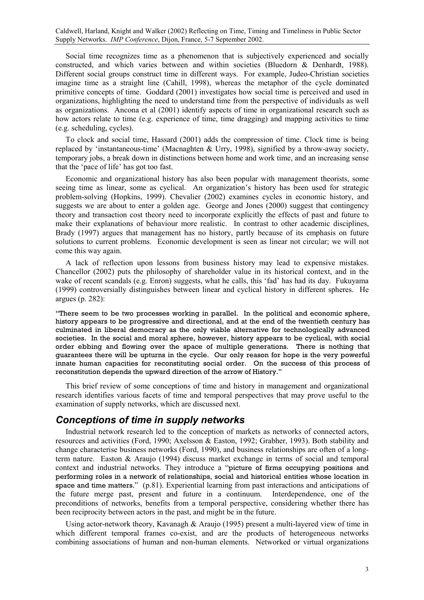Social time recognizes time as a phenomenon that is subjectively experienced and socially constructed, and which varies between and within societies (Bluedorn & Denhardt, 1988). Different social groups construct time in different ways. For example, Judeo-Christian societies imagine time as a straight line (Cahill, 1998), whereas the metaphor of the cycle dominated primitive concepts of time. Goddard (2001) investigates how social time is perceived and used in organizations, highlighting the need to understand time from the perspective of individuals as well as organizations. Ancona et al (2001) identify aspects of time in organizational research such as how actors relate to time (e.g. experience of time, time dragging) and mapping activities to time (e.g. scheduling, cycles).

To clock and social time, Hassard (2001) adds the compression of time. Clock time is being replaced by 'instantaneous-time' (Macnaghten & Urry, 1998), signified by a throw-away society, temporary jobs, a break down in distinctions between home and work time, and an increasing sense that the 'pace of life' has got too fast.

Economic and organizational history has also been popular with management theorists, some seeing time as linear, some as cyclical. An organization's history has been used for strategic problem-solving (Hopkins, 1999). Chevalier (2002) examines cycles in economic history, and suggests we are about to enter a golden age. George and Jones (2000) suggest that contingency theory and transaction cost theory need to incorporate explicitly the effects of past and future to make their explanations of behaviour more realistic. In contrast to other academic disciplines, Brady (1997) argues that management has no history, partly because of its emphasis on future solutions to current problems. Economic development is seen as linear not circular; we will not come this way again.

A lack of reflection upon lessons from business history may lead to expensive mistakes. Chancellor (2002) puts the philosophy of shareholder value in its historical context, and in the wake of recent scandals (e.g. Enron) suggests, what he calls, this 'fad' has had its day. Fukuyama (1999) controversially distinguishes between linear and cyclical history in different spheres. He argues (p. 282):

"There seem to be two processes working in parallel. In the political and economic sphere, history appears to be progressive and directional, and at the end of the twentieth century has culminated in liberal democracy as the only viable alternative for technologically advanced societies. In the social and moral sphere, however, history appears to be cyclical, with social order ebbing and flowing over the space of multiple generations. There is nothing that guarantees there will be upturns in the cycle. Our only reason for hope is the very powerful innate human capacities for reconstituting social order. On the success of this process of reconstitution depends the upward direction of the arrow of History."

This brief review of some conceptions of time and history in management and organizational research identifies various facets of time and temporal perspectives that may prove useful to the examination of supply networks, which are discussed next.

#### *Conceptions of time in supply networks*

Industrial network research led to the conception of markets as networks of connected actors, resources and activities (Ford, 1990; Axelsson & Easton, 1992; Grabher, 1993). Both stability and change characterise business networks (Ford, 1990), and business relationships are often of a longterm nature. Easton & Araujo (1994) discuss market exchange in terms of social and temporal context and industrial networks. They introduce a "picture of firms occupying positions and performing roles in a network of relationships, social and historical entities whose location in space and time matters." (p.81). Experiential learning from past interactions and anticipations of the future merge past, present and future in a continuum. Interdependence, one of the preconditions of networks, benefits from a temporal perspective, considering whether there has been reciprocity between actors in the past, and might be in the future.

Using actor-network theory, Kavanagh & Araujo (1995) present a multi-layered view of time in which different temporal frames co-exist, and are the products of heterogeneous networks combining associations of human and non-human elements. Networked or virtual organizations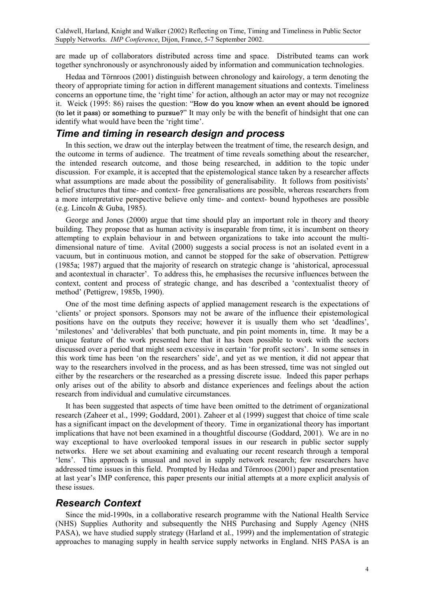are made up of collaborators distributed across time and space. Distributed teams can work together synchronously or asynchronously aided by information and communication technologies.

Hedaa and Törnroos (2001) distinguish between chronology and kairology, a term denoting the theory of appropriate timing for action in different management situations and contexts. Timeliness concerns an opportune time, the 'right time' for action, although an actor may or may not recognize it. Weick (1995: 86) raises the question: "How do you know when an event should be ignored (to let it pass) or something to pursue?" It may only be with the benefit of hindsight that one can identify what would have been the 'right time'.

#### *Time and timing in research design and process*

In this section, we draw out the interplay between the treatment of time, the research design, and the outcome in terms of audience. The treatment of time reveals something about the researcher, the intended research outcome, and those being researched, in addition to the topic under discussion. For example, it is accepted that the epistemological stance taken by a researcher affects what assumptions are made about the possibility of generalisability. It follows from positivists' belief structures that time- and context- free generalisations are possible, whereas researchers from a more interpretative perspective believe only time- and context- bound hypotheses are possible (e.g. Lincoln & Guba, 1985).

George and Jones (2000) argue that time should play an important role in theory and theory building. They propose that as human activity is inseparable from time, it is incumbent on theory attempting to explain behaviour in and between organizations to take into account the multidimensional nature of time. Avital (2000) suggests a social process is not an isolated event in a vacuum, but in continuous motion, and cannot be stopped for the sake of observation. Pettigrew (1985a; 1987) argued that the majority of research on strategic change is 'ahistorical, aprocessual and acontextual in character'. To address this, he emphasises the recursive influences between the context, content and process of strategic change, and has described a 'contextualist theory of method' (Pettigrew, 1985b, 1990).

One of the most time defining aspects of applied management research is the expectations of 'clients' or project sponsors. Sponsors may not be aware of the influence their epistemological positions have on the outputs they receive; however it is usually them who set 'deadlines', 'milestones' and 'deliverables' that both punctuate, and pin point moments in, time. It may be a unique feature of the work presented here that it has been possible to work with the sectors discussed over a period that might seem excessive in certain 'for profit sectors'. In some senses in this work time has been 'on the researchers' side', and yet as we mention, it did not appear that way to the researchers involved in the process, and as has been stressed, time was not singled out either by the researchers or the researched as a pressing discrete issue. Indeed this paper perhaps only arises out of the ability to absorb and distance experiences and feelings about the action research from individual and cumulative circumstances.

It has been suggested that aspects of time have been omitted to the detriment of organizational research (Zaheer et al., 1999; Goddard, 2001). Zaheer et al (1999) suggest that choice of time scale has a significant impact on the development of theory. Time in organizational theory has important implications that have not been examined in a thoughtful discourse (Goddard, 2001). We are in no way exceptional to have overlooked temporal issues in our research in public sector supply networks. Here we set about examining and evaluating our recent research through a temporal 'lens'. This approach is unusual and novel in supply network research; few researchers have addressed time issues in this field. Prompted by Hedaa and Törnroos (2001) paper and presentation at last year's IMP conference, this paper presents our initial attempts at a more explicit analysis of these issues.

#### *Research Context*

Since the mid-1990s, in a collaborative research programme with the National Health Service (NHS) Supplies Authority and subsequently the NHS Purchasing and Supply Agency (NHS PASA), we have studied supply strategy (Harland et al., 1999) and the implementation of strategic approaches to managing supply in health service supply networks in England. NHS PASA is an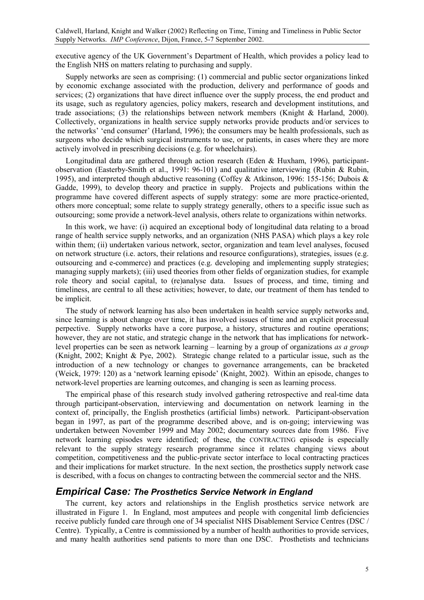executive agency of the UK Government's Department of Health, which provides a policy lead to the English NHS on matters relating to purchasing and supply.

Supply networks are seen as comprising: (1) commercial and public sector organizations linked by economic exchange associated with the production, delivery and performance of goods and services; (2) organizations that have direct influence over the supply process, the end product and its usage, such as regulatory agencies, policy makers, research and development institutions, and trade associations; (3) the relationships between network members (Knight & Harland, 2000). Collectively, organizations in health service supply networks provide products and/or services to the networks' 'end consumer' (Harland, 1996); the consumers may be health professionals, such as surgeons who decide which surgical instruments to use, or patients, in cases where they are more actively involved in prescribing decisions (e.g. for wheelchairs).

Longitudinal data are gathered through action research (Eden & Huxham, 1996), participantobservation (Easterby-Smith et al., 1991: 96-101) and qualitative interviewing (Rubin & Rubin, 1995), and interpreted though abductive reasoning (Coffey & Atkinson, 1996: 155-156; Dubois & Gadde, 1999), to develop theory and practice in supply. Projects and publications within the programme have covered different aspects of supply strategy: some are more practice-oriented, others more conceptual; some relate to supply strategy generally, others to a specific issue such as outsourcing; some provide a network-level analysis, others relate to organizations within networks.

In this work, we have: (i) acquired an exceptional body of longitudinal data relating to a broad range of health service supply networks, and an organization (NHS PASA) which plays a key role within them; (ii) undertaken various network, sector, organization and team level analyses, focused on network structure (i.e. actors, their relations and resource configurations), strategies, issues (e.g. outsourcing and e-commerce) and practices (e.g. developing and implementing supply strategies; managing supply markets); (iii) used theories from other fields of organization studies, for example role theory and social capital, to (re)analyse data. Issues of process, and time, timing and timeliness, are central to all these activities; however, to date, our treatment of them has tended to be implicit.

The study of network learning has also been undertaken in health service supply networks and, since learning is about change over time, it has involved issues of time and an explicit processual perpective. Supply networks have a core purpose, a history, structures and routine operations; however, they are not static, and strategic change in the network that has implications for networklevel properties can be seen as network learning – learning by a group of organizations *as a group* (Knight, 2002; Knight & Pye, 2002). Strategic change related to a particular issue, such as the introduction of a new technology or changes to governance arrangements, can be bracketed (Weick, 1979: 120) as a 'network learning episode' (Knight, 2002). Within an episode, changes to network-level properties are learning outcomes, and changing is seen as learning process.

The empirical phase of this research study involved gathering retrospective and real-time data through participant-observation, interviewing and documentation on network learning in the context of, principally, the English prosthetics (artificial limbs) network. Participant-observation began in 1997, as part of the programme described above, and is on-going; interviewing was undertaken between November 1999 and May 2002; documentary sources date from 1986. Five network learning episodes were identified; of these, the CONTRACTING episode is especially relevant to the supply strategy research programme since it relates changing views about competition, competitiveness and the public-private sector interface to local contracting practices and their implications for market structure. In the next section, the prosthetics supply network case is described, with a focus on changes to contracting between the commercial sector and the NHS.

#### *Empirical Case: The Prosthetics Service Network in England*

The current, key actors and relationships in the English prosthetics service network are illustrated in [Figure 1.](#page-5-0) In England, most amputees and people with congenital limb deficiencies receive publicly funded care through one of 34 specialist NHS Disablement Service Centres (DSC / Centre). Typically, a Centre is commissioned by a number of health authorities to provide services, and many health authorities send patients to more than one DSC. Prosthetists and technicians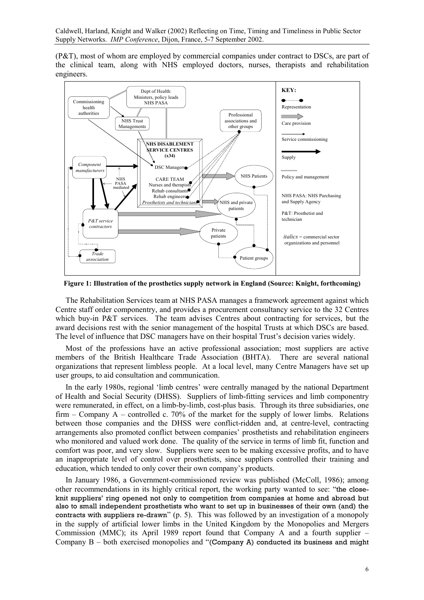(P&T), most of whom are employed by commercial companies under contract to DSCs, are part of the clinical team, along with NHS employed doctors, nurses, therapists and rehabilitation engineers.

<span id="page-5-0"></span>

**Figure 1: Illustration of the prosthetics supply network in England (Source: Knight, forthcoming)** 

The Rehabilitation Services team at NHS PASA manages a framework agreement against which Centre staff order componentry, and provides a procurement consultancy service to the 32 Centres which buy-in P&T services. The team advises Centres about contracting for services, but the award decisions rest with the senior management of the hospital Trusts at which DSCs are based. The level of influence that DSC managers have on their hospital Trust's decision varies widely.

Most of the professions have an active professional association; most suppliers are active members of the British Healthcare Trade Association (BHTA). There are several national organizations that represent limbless people. At a local level, many Centre Managers have set up user groups, to aid consultation and communication.

In the early 1980s, regional 'limb centres' were centrally managed by the national Department of Health and Social Security (DHSS). Suppliers of limb-fitting services and limb componentry were remunerated, in effect, on a limb-by-limb, cost-plus basis. Through its three subsidiaries, one firm – Company A – controlled c. 70% of the market for the supply of lower limbs. Relations between those companies and the DHSS were conflict-ridden and, at centre-level, contracting arrangements also promoted conflict between companies' prosthetists and rehabilitation engineers who monitored and valued work done. The quality of the service in terms of limb fit, function and comfort was poor, and very slow. Suppliers were seen to be making excessive profits, and to have an inappropriate level of control over prosthetists, since suppliers controlled their training and education, which tended to only cover their own company's products.

In January 1986, a Government-commissioned review was published (McColl, 1986); among other recommendations in its highly critical report, the working party wanted to see: "the closeknit suppliers' ring opened not only to competition from companies at home and abroad but also to small independent prosthetists who want to set up in businesses of their own (and) the contracts with suppliers re-drawn" (p. 5). This was followed by an investigation of a monopoly in the supply of artificial lower limbs in the United Kingdom by the Monopolies and Mergers Commission (MMC); its April 1989 report found that Company A and a fourth supplier – Company  $B -$  both exercised monopolies and "(Company A) conducted its business and might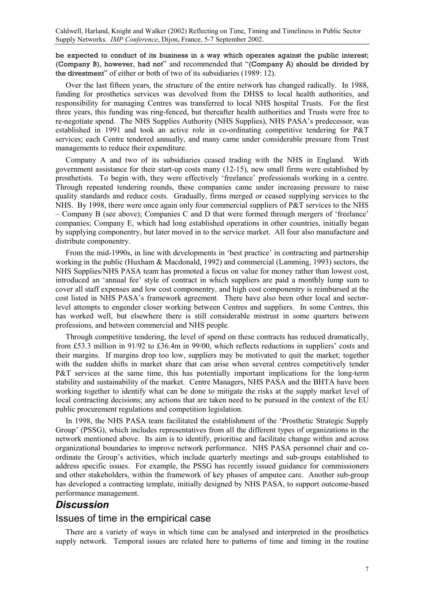be expected to conduct of its business in a way which operates against the public interest; (Company B), however, had not" and recommended that "(Company A) should be divided by the divestment" of either or both of two of its subsidiaries (1989: 12).

Over the last fifteen years, the structure of the entire network has changed radically. In 1988, funding for prosthetics services was devolved from the DHSS to local health authorities, and responsibility for managing Centres was transferred to local NHS hospital Trusts. For the first three years, this funding was ring-fenced, but thereafter health authorities and Trusts were free to re-negotiate spend. The NHS Supplies Authority (NHS Supplies), NHS PASA's predecessor, was established in 1991 and took an active role in co-ordinating competitive tendering for P&T services; each Centre tendered annually, and many came under considerable pressure from Trust managements to reduce their expenditure.

Company A and two of its subsidiaries ceased trading with the NHS in England. With government assistance for their start-up costs many (12-15), new small firms were established by prosthetists. To begin with, they were effectively 'freelance' professionals working in a centre. Through repeated tendering rounds, these companies came under increasing pressure to raise quality standards and reduce costs. Gradually, firms merged or ceased supplying services to the NHS. By 1998, there were once again only four commercial suppliers of P&T services to the NHS – Company B (see above); Companies C and D that were formed through mergers of 'freelance' companies; Company E, which had long established operations in other countries, initially began by supplying componentry, but later moved in to the service market. All four also manufacture and distribute componentry.

From the mid-1990s, in line with developments in 'best practice' in contracting and partnership working in the public (Huxham & Macdonald, 1992) and commercial (Lamming, 1993) sectors, the NHS Supplies/NHS PASA team has promoted a focus on value for money rather than lowest cost, introduced an 'annual fee' style of contract in which suppliers are paid a monthly lump sum to cover all staff expenses and low cost componentry, and high cost componentry is reimbursed at the cost listed in NHS PASA's framework agreement. There have also been other local and sectorlevel attempts to engender closer working between Centres and suppliers. In some Centres, this has worked well, but elsewhere there is still considerable mistrust in some quarters between professions, and between commercial and NHS people.

Through competitive tendering, the level of spend on these contracts has reduced dramatically, from £53.3 million in 91/92 to £36.4m in 99/00, which reflects reductions in suppliers' costs and their margins. If margins drop too low, suppliers may be motivated to quit the market; together with the sudden shifts in market share that can arise when several centres competitively tender P&T services at the same time, this has potentially important implications for the long-term stability and sustainability of the market. Centre Managers, NHS PASA and the BHTA have been working together to identify what can be done to mitigate the risks at the supply market level of local contracting decisions; any actions that are taken need to be pursued in the context of the EU public procurement regulations and competition legislation.

In 1998, the NHS PASA team facilitated the establishment of the 'Prosthetic Strategic Supply Group' (PSSG), which includes representatives from all the different types of organizations in the network mentioned above. Its aim is to identify, prioritise and facilitate change within and across organizational boundaries to improve network performance. NHS PASA personnel chair and coordinate the Group's activities, which include quarterly meetings and sub-groups established to address specific issues. For example, the PSSG has recently issued guidance for commissioners and other stakeholders, within the framework of key phases of amputee care. Another sub-group has developed a contracting template, initially designed by NHS PASA, to support outcome-based performance management.

### *Discussion*

#### Issues of time in the empirical case

There are a variety of ways in which time can be analysed and interpreted in the prosthetics supply network. Temporal issues are related here to patterns of time and timing in the routine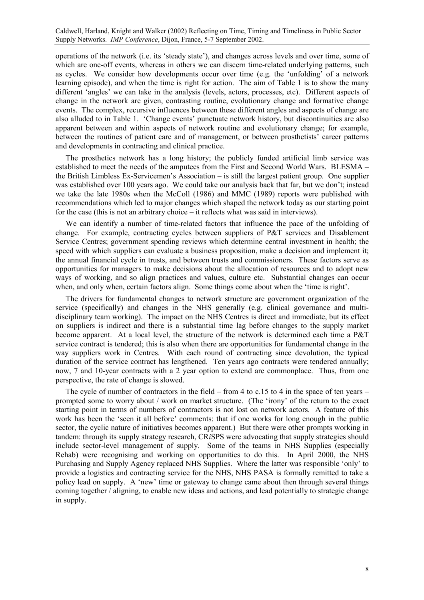operations of the network (i.e. its 'steady state'), and changes across levels and over time, some of which are one-off events, whereas in others we can discern time-related underlying patterns, such as cycles. We consider how developments occur over time (e.g. the 'unfolding' of a network learning episode), and when the time is right for action. The aim of Table 1 is to show the many different 'angles' we can take in the analysis (levels, actors, processes, etc). Different aspects of change in the network are given, contrasting routine, evolutionary change and formative change events. The complex, recursive influences between these different angles and aspects of change are also alluded to in Table 1. 'Change events' punctuate network history, but discontinuities are also apparent between and within aspects of network routine and evolutionary change; for example, between the routines of patient care and of management, or between prosthetists' career patterns and developments in contracting and clinical practice.

The prosthetics network has a long history; the publicly funded artificial limb service was established to meet the needs of the amputees from the First and Second World Wars. BLESMA – the British Limbless Ex-Servicemen's Association – is still the largest patient group. One supplier was established over 100 years ago. We could take our analysis back that far, but we don't; instead we take the late 1980s when the McColl (1986) and MMC (1989) reports were published with recommendations which led to major changes which shaped the network today as our starting point for the case (this is not an arbitrary choice – it reflects what was said in interviews).

We can identify a number of time-related factors that influence the pace of the unfolding of change. For example, contracting cycles between suppliers of P&T services and Disablement Service Centres; government spending reviews which determine central investment in health; the speed with which suppliers can evaluate a business proposition, make a decision and implement it; the annual financial cycle in trusts, and between trusts and commissioners. These factors serve as opportunities for managers to make decisions about the allocation of resources and to adopt new ways of working, and so align practices and values, culture etc. Substantial changes can occur when, and only when, certain factors align. Some things come about when the 'time is right'.

The drivers for fundamental changes to network structure are government organization of the service (specifically) and changes in the NHS generally (e.g. clinical governance and multidisciplinary team working). The impact on the NHS Centres is direct and immediate, but its effect on suppliers is indirect and there is a substantial time lag before changes to the supply market become apparent. At a local level, the structure of the network is determined each time a P&T service contract is tendered; this is also when there are opportunities for fundamental change in the way suppliers work in Centres. With each round of contracting since devolution, the typical duration of the service contract has lengthened. Ten years ago contracts were tendered annually; now, 7 and 10-year contracts with a 2 year option to extend are commonplace. Thus, from one perspective, the rate of change is slowed.

The cycle of number of contractors in the field – from 4 to c.15 to 4 in the space of ten years – prompted some to worry about / work on market structure. (The 'irony' of the return to the exact starting point in terms of numbers of contractors is not lost on network actors. A feature of this work has been the 'seen it all before' comments: that if one works for long enough in the public sector, the cyclic nature of initiatives becomes apparent.) But there were other prompts working in tandem: through its supply strategy research, CR*i*SPS were advocating that supply strategies should include sector-level management of supply. Some of the teams in NHS Supplies (especially Rehab) were recognising and working on opportunities to do this. In April 2000, the NHS Purchasing and Supply Agency replaced NHS Supplies. Where the latter was responsible 'only' to provide a logistics and contracting service for the NHS, NHS PASA is formally remitted to take a policy lead on supply. A 'new' time or gateway to change came about then through several things coming together / aligning, to enable new ideas and actions, and lead potentially to strategic change in supply.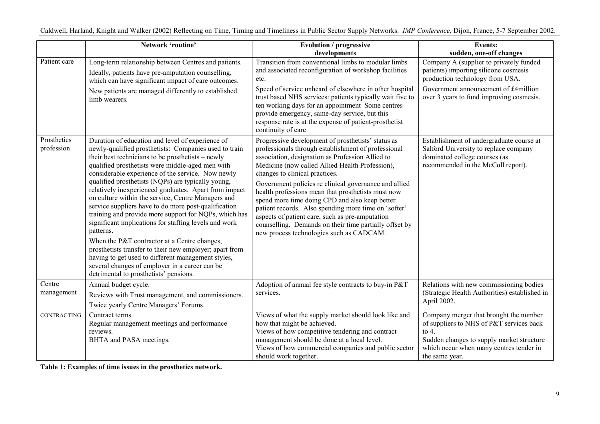|                           | Network 'routine'                                                                                                                                                                                                                                                                                                                                                                                                                                                                                                                                                                                                                                                                                                                                                                                                                                                                                | <b>Evolution / progressive</b><br>developments                                                                                                                                                                                                                                                                                                                                                                                                                                                                                                                                                                                       | <b>Events:</b><br>sudden, one-off changes                                                                                                                                                               |
|---------------------------|--------------------------------------------------------------------------------------------------------------------------------------------------------------------------------------------------------------------------------------------------------------------------------------------------------------------------------------------------------------------------------------------------------------------------------------------------------------------------------------------------------------------------------------------------------------------------------------------------------------------------------------------------------------------------------------------------------------------------------------------------------------------------------------------------------------------------------------------------------------------------------------------------|--------------------------------------------------------------------------------------------------------------------------------------------------------------------------------------------------------------------------------------------------------------------------------------------------------------------------------------------------------------------------------------------------------------------------------------------------------------------------------------------------------------------------------------------------------------------------------------------------------------------------------------|---------------------------------------------------------------------------------------------------------------------------------------------------------------------------------------------------------|
| Patient care              | Long-term relationship between Centres and patients.<br>Ideally, patients have pre-amputation counselling,<br>which can have significant impact of care outcomes.<br>New patients are managed differently to established<br>limb wearers.                                                                                                                                                                                                                                                                                                                                                                                                                                                                                                                                                                                                                                                        | Transition from conventional limbs to modular limbs<br>and associated reconfiguration of workshop facilities<br>etc.<br>Speed of service unheard of elsewhere in other hospital<br>trust based NHS services: patients typically wait five to<br>ten working days for an appointment Some centres<br>provide emergency, same-day service, but this<br>response rate is at the expense of patient-prosthetist<br>continuity of care                                                                                                                                                                                                    | Company A (supplier to privately funded<br>patients) importing silicone cosmesis<br>production technology from USA.<br>Government announcement of £4million<br>over 3 years to fund improving cosmesis. |
| Prosthetics<br>profession | Duration of education and level of experience of<br>newly-qualified prosthetists: Companies used to train<br>their best technicians to be prosthetists – newly<br>qualified prosthetists were middle-aged men with<br>considerable experience of the service. Now newly<br>qualified prosthetists (NQPs) are typically young,<br>relatively inexperienced graduates. Apart from impact<br>on culture within the service, Centre Managers and<br>service suppliers have to do more post-qualification<br>training and provide more support for NQPs, which has<br>significant implications for staffing levels and work<br>patterns.<br>When the P&T contractor at a Centre changes,<br>prosthetists transfer to their new employer; apart from<br>having to get used to different management styles,<br>several changes of employer in a career can be<br>detrimental to prosthetists' pensions. | Progressive development of prosthetists' status as<br>professionals through establishment of professional<br>association, designation as Profession Allied to<br>Medicine (now called Allied Health Profession),<br>changes to clinical practices.<br>Government policies re clinical governance and allied<br>health professions mean that prosthetists must now<br>spend more time doing CPD and also keep better<br>patient records. Also spending more time on 'softer'<br>aspects of patient care, such as pre-amputation<br>counselling. Demands on their time partially offset by<br>new process technologies such as CADCAM. | Establishment of undergraduate course at<br>Salford University to replace company<br>dominated college courses (as<br>recommended in the McColl report).                                                |
| Centre<br>management      | Annual budget cycle.<br>Reviews with Trust management, and commissioners.<br>Twice yearly Centre Managers' Forums.                                                                                                                                                                                                                                                                                                                                                                                                                                                                                                                                                                                                                                                                                                                                                                               | Adoption of annual fee style contracts to buy-in P&T<br>services.                                                                                                                                                                                                                                                                                                                                                                                                                                                                                                                                                                    | Relations with new commissioning bodies<br>(Strategic Health Authorities) established in<br>April 2002.                                                                                                 |
| <b>CONTRACTING</b>        | Contract terms.<br>Regular management meetings and performance<br>reviews.<br>BHTA and PASA meetings.                                                                                                                                                                                                                                                                                                                                                                                                                                                                                                                                                                                                                                                                                                                                                                                            | Views of what the supply market should look like and<br>how that might be achieved.<br>Views of how competitive tendering and contract<br>management should be done at a local level.<br>Views of how commercial companies and public sector<br>should work together.                                                                                                                                                                                                                                                                                                                                                                | Company merger that brought the number<br>of suppliers to NHS of P&T services back<br>to $4.$<br>Sudden changes to supply market structure<br>which occur when many centres tender in<br>the same year. |

**Table 1: E xam ples of ti me issues i n the prosthetics network.**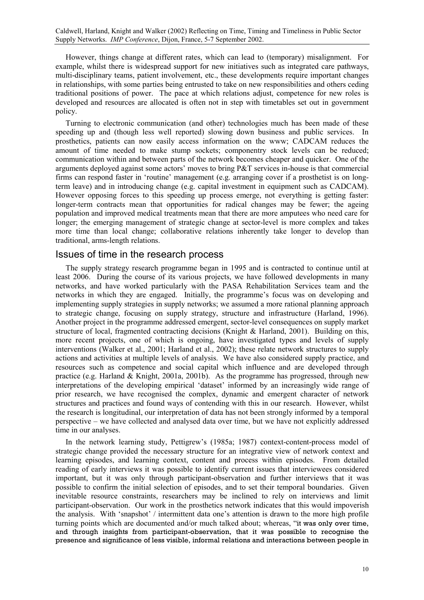However, things change at different rates, which can lead to (temporary) misalignment. For example, whilst there is widespread support for new initiatives such as integrated care pathways, multi-disciplinary teams, patient involvement, etc., these developments require important changes in relationships, with some parties being entrusted to take on new responsibilities and others ceding traditional positions of power. The pace at which relations adjust, competence for new roles is developed and resources are allocated is often not in step with timetables set out in government policy.

Turning to electronic communication (and other) technologies much has been made of these speeding up and (though less well reported) slowing down business and public services. In prosthetics, patients can now easily access information on the www; CADCAM reduces the amount of time needed to make stump sockets; componentry stock levels can be reduced; communication within and between parts of the network becomes cheaper and quicker. One of the arguments deployed against some actors' moves to bring  $P\&T$  services in-house is that commercial firms can respond faster in 'routine' management (e.g. arranging cover if a prosthetist is on longterm leave) and in introducing change (e.g. capital investment in equipment such as CADCAM). However opposing forces to this speeding up process emerge, not everything is getting faster: longer-term contracts mean that opportunities for radical changes may be fewer; the ageing population and improved medical treatments mean that there are more amputees who need care for longer; the emerging management of strategic change at sector-level is more complex and takes more time than local change; collaborative relations inherently take longer to develop than traditional, arms-length relations.

#### Issues of time in the research process

The supply strategy research programme began in 1995 and is contracted to continue until at least 2006. During the course of its various projects, we have followed developments in many networks, and have worked particularly with the PASA Rehabilitation Services team and the networks in which they are engaged. Initially, the programme's focus was on developing and implementing supply strategies in supply networks; we assumed a more rational planning approach to strategic change, focusing on supply strategy, structure and infrastructure (Harland, 1996). Another project in the programme addressed emergent, sector-level consequences on supply market structure of local, fragmented contracting decisions (Knight & Harland, 2001). Building on this, more recent projects, one of which is ongoing, have investigated types and levels of supply interventions (Walker et al., 2001; Harland et al., 2002); these relate network structures to supply actions and activities at multiple levels of analysis. We have also considered supply practice, and resources such as competence and social capital which influence and are developed through practice (e.g. Harland & Knight, 2001a, 2001b). As the programme has progressed, through new interpretations of the developing empirical 'dataset' informed by an increasingly wide range of prior research, we have recognised the complex, dynamic and emergent character of network structures and practices and found ways of contending with this in our research. However, whilst the research is longitudinal, our interpretation of data has not been strongly informed by a temporal perspective – we have collected and analysed data over time, but we have not explicitly addressed time in our analyses.

In the network learning study, Pettigrew's (1985a; 1987) context-content-process model of strategic change provided the necessary structure for an integrative view of network context and learning episodes, and learning context, content and process within episodes. From detailed reading of early interviews it was possible to identify current issues that interviewees considered important, but it was only through participant-observation and further interviews that it was possible to confirm the initial selection of episodes, and to set their temporal boundaries. Given inevitable resource constraints, researchers may be inclined to rely on interviews and limit participant-observation. Our work in the prosthetics network indicates that this would impoverish the analysis. With 'snapshot' / intermittent data one's attention is drawn to the more high profile turning points which are documented and/or much talked about; whereas, "it was only over time, and through insights from participant-observation, that it was possible to recognise the presence and significance of less visible, informal relations and interactions between people in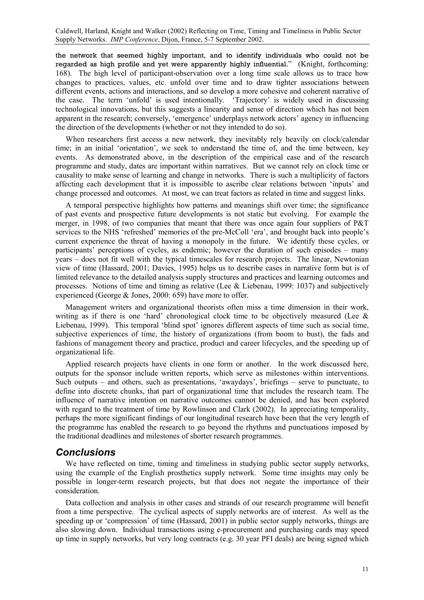the network that seemed highly important, and to identify individuals who could not be regarded as high profile and yet were apparently highly influential." (Knight, forthcoming: 168). The high level of participant-observation over a long time scale allows us to trace how changes to practices, values, etc. unfold over time and to draw tighter associations between different events, actions and interactions, and so develop a more cohesive and coherent narrative of the case. The term 'unfold' is used intentionally. 'Trajectory' is widely used in discussing technological innovations, but this suggests a linearity and sense of direction which has not been apparent in the research; conversely, 'emergence' underplays network actors' agency in influencing the direction of the developments (whether or not they intended to do so).

When researchers first access a new network, they inevitably rely heavily on clock/calendar time; in an initial 'orientation', we seek to understand the time of, and the time between, key events. As demonstrated above, in the description of the empirical case and of the research programme and study, dates are important within narratives. But we cannot rely on clock time or causality to make sense of learning and change in networks. There is such a multiplicity of factors affecting each development that it is impossible to ascribe clear relations between 'inputs' and change processed and outcomes. At most, we can treat factors as related in time and suggest links.

A temporal perspective highlights how patterns and meanings shift over time; the significance of past events and prospective future developments is not static but evolving. For example the merger, in 1998, of two companies that meant that there was once again four suppliers of P&T services to the NHS 'refreshed' memories of the pre-McColl 'era', and brought back into people's current experience the threat of having a monopoly in the future. We identify these cycles, or participants' perceptions of cycles, as endemic; however the duration of such episodes – many years – does not fit well with the typical timescales for research projects. The linear, Newtonian view of time (Hassard, 2001; Davies, 1995) helps us to describe cases in narrative form but is of limited relevance to the detailed analysis supply structures and practices and learning outcomes and processes. Notions of time and timing as relative (Lee & Liebenau, 1999: 1037) and subjectively experienced (George & Jones, 2000: 659) have more to offer.

Management writers and organizational theorists often miss a time dimension in their work, writing as if there is one 'hard' chronological clock time to be objectively measured (Lee  $\&$ Liebenau, 1999). This temporal 'blind spot' ignores different aspects of time such as social time, subjective experiences of time, the history of organizations (from boom to bust), the fads and fashions of management theory and practice, product and career lifecycles, and the speeding up of organizational life.

Applied research projects have clients in one form or another. In the work discussed here, outputs for the sponsor include written reports, which serve as milestones within interventions. Such outputs – and others, such as presentations, 'awaydays', briefings – serve to punctuate, to define into discrete chunks, that part of organizational time that includes the research team. The influence of narrative intention on narrative outcomes cannot be denied, and has been explored with regard to the treatment of time by Rowlinson and Clark (2002). In appreciating temporality, perhaps the more significant findings of our longitudinal research have been that the very length of the programme has enabled the research to go beyond the rhythms and punctuations imposed by the traditional deadlines and milestones of shorter research programmes.

#### *Conclusions*

We have reflected on time, timing and timeliness in studying public sector supply networks, using the example of the English prosthetics supply network. Some time insights may only be possible in longer-term research projects, but that does not negate the importance of their consideration.

Data collection and analysis in other cases and strands of our research programme will benefit from a time perspective. The cyclical aspects of supply networks are of interest. As well as the speeding up or 'compression' of time (Hassard, 2001) in public sector supply networks, things are also slowing down. Individual transactions using e-procurement and purchasing cards may speed up time in supply networks, but very long contracts (e.g. 30 year PFI deals) are being signed which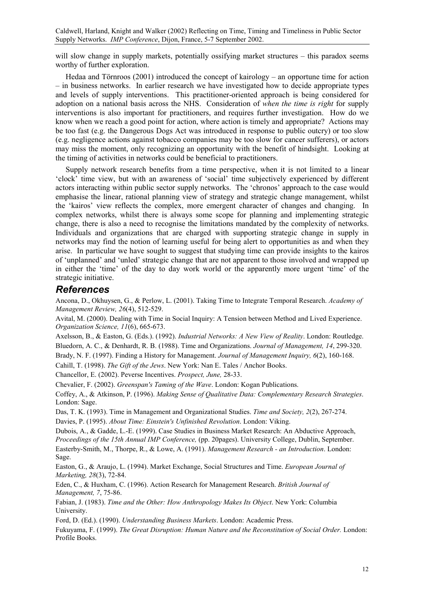will slow change in supply markets, potentially ossifying market structures – this paradox seems worthy of further exploration.

Hedaa and Törnroos (2001) introduced the concept of kairology – an opportune time for action – in business networks. In earlier research we have investigated how to decide appropriate types and levels of supply interventions. This practitioner-oriented approach is being considered for adoption on a national basis across the NHS. Consideration of *when the time is right* for supply interventions is also important for practitioners, and requires further investigation. How do we know when we reach a good point for action, where action is timely and appropriate? Actions may be too fast (e.g. the Dangerous Dogs Act was introduced in response to public outcry) or too slow (e.g. negligence actions against tobacco companies may be too slow for cancer sufferers), or actors may miss the moment, only recognizing an opportunity with the benefit of hindsight. Looking at the timing of activities in networks could be beneficial to practitioners.

Supply network research benefits from a time perspective, when it is not limited to a linear 'clock' time view, but with an awareness of 'social' time subjectively experienced by different actors interacting within public sector supply networks. The 'chronos' approach to the case would emphasise the linear, rational planning view of strategy and strategic change management, whilst the 'kairos' view reflects the complex, more emergent character of changes and changing. In complex networks, whilst there is always some scope for planning and implementing strategic change, there is also a need to recognise the limitations mandated by the complexity of networks. Individuals and organizations that are charged with supporting strategic change in supply in networks may find the notion of learning useful for being alert to opportunities as and when they arise. In particular we have sought to suggest that studying time can provide insights to the kairos of 'unplanned' and 'unled' strategic change that are not apparent to those involved and wrapped up in either the 'time' of the day to day work world or the apparently more urgent 'time' of the strategic initiative.

#### *References*

Ancona, D., Okhuysen, G., & Perlow, L. (2001). Taking Time to Integrate Temporal Research. *Academy of Management Review, 26*(4), 512-529.

Avital, M. (2000). Dealing with Time in Social Inquiry: A Tension between Method and Lived Experience. *Organization Science, 11*(6), 665-673.

Axelsson, B., & Easton, G. (Eds.). (1992). *Industrial Networks: A New View of Reality*. London: Routledge. Bluedorn, A. C., & Denhardt, R. B. (1988). Time and Organizations. *Journal of Management, 14*, 299-320.

Brady, N. F. (1997). Finding a History for Management. *Journal of Management Inquiry, 6*(2), 160-168.

Cahill, T. (1998). *The Gift of the Jews*. New York: Nan E. Tales / Anchor Books.

Chancellor, E. (2002). Peverse Incentives. *Prospect, June,* 28-33.

Chevalier, F. (2002). *Greenspan's Taming of the Wave*. London: Kogan Publications.

Coffey, A., & Atkinson, P. (1996). *Making Sense of Qualitative Data: Complementary Research Strategies*. London: Sage.

Das, T. K. (1993). Time in Management and Organizational Studies. *Time and Society, 2*(2), 267-274. Davies, P. (1995). *About Time: Einstein's Unfinished Revolution*. London: Viking.

Dubois, A., & Gadde, L.-E. (1999). Case Studies in Business Market Research: An Abductive Approach, *Proceedings of the 15th Annual IMP Conference,* (pp. 20pages). University College, Dublin, September. Easterby-Smith, M., Thorpe, R., & Lowe, A. (1991). *Management Research - an Introduction*. London: Sage.

Easton, G., & Araujo, L. (1994). Market Exchange, Social Structures and Time. *European Journal of Marketing, 28*(3), 72-84.

Eden, C., & Huxham, C. (1996). Action Research for Management Research. *British Journal of Management, 7*, 75-86.

Fabian, J. (1983). *Time and the Other: How Anthropology Makes Its Object*. New York: Columbia University.

Ford, D. (Ed.). (1990). *Understanding Business Markets*. London: Academic Press.

Fukuyama, F. (1999). *The Great Disruption: Human Nature and the Reconstitution of Social Order.* London: Profile Books.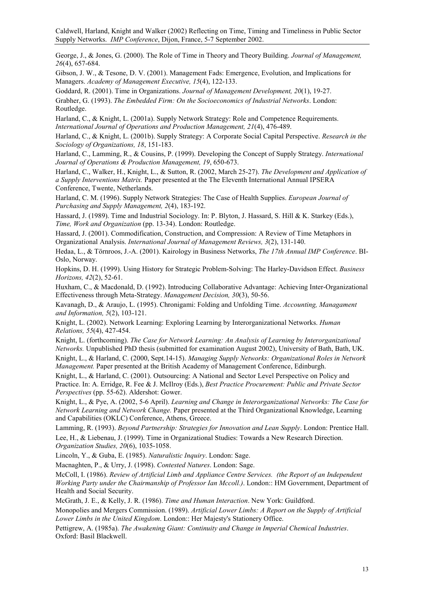George, J., & Jones, G. (2000). The Role of Time in Theory and Theory Building. *Journal of Management, 26*(4), 657-684.

Gibson, J. W., & Tesone, D. V. (2001). Management Fads: Emergence, Evolution, and Implications for Managers. *Academy of Management Executive, 15*(4), 122-133.

Goddard, R. (2001). Time in Organizations. *Journal of Management Development, 20*(1), 19-27. Grabher, G. (1993). *The Embedded Firm: On the Socioeconomics of Industrial Networks*. London: Routledge.

Harland, C., & Knight, L. (2001a). Supply Network Strategy: Role and Competence Requirements. *International Journal of Operations and Production Management, 21*(4), 476-489.

Harland, C., & Knight, L. (2001b). Supply Strategy: A Corporate Social Capital Perspective. *Research in the Sociology of Organizations, 18*, 151-183.

Harland, C., Lamming, R., & Cousins, P. (1999). Developing the Concept of Supply Strategy. *International Journal of Operations & Production Management, 19*, 650-673.

Harland, C., Walker, H., Knight, L., & Sutton, R. (2002, March 25-27). *The Development and Application of a Supply Interventions Matrix.* Paper presented at the The Eleventh International Annual IPSERA Conference, Twente, Netherlands.

Harland, C. M. (1996). Supply Network Strategies: The Case of Health Supplies. *European Journal of Purchasing and Supply Management, 2*(4), 183-192.

Hassard, J. (1989). Time and Industrial Sociology. In: P. Blyton, J. Hassard, S. Hill & K. Starkey (Eds.), *Time, Work and Organization* (pp. 13-34). London: Routledge.

Hassard, J. (2001). Commodification, Construction, and Compression: A Review of Time Metaphors in Organizational Analysis. *International Journal of Management Reviews, 3*(2), 131-140.

Hedaa, L., & Törnroos, J.-A. (2001). Kairology in Business Networks, *The 17th Annual IMP Conference*. BI-Oslo, Norway.

Hopkins, D. H. (1999). Using History for Strategic Problem-Solving: The Harley-Davidson Effect. *Business Horizons, 42*(2), 52-61.

Huxham, C., & Macdonald, D. (1992). Introducing Collaborative Advantage: Achieving Inter-Organizational Effectiveness through Meta-Strategy. *Management Decision, 30*(3), 50-56.

Kavanagh, D., & Araujo, L. (1995). Chronigami: Folding and Unfolding Time. *Accounting, Managament and Information, 5*(2), 103-121.

Knight, L. (2002). Network Learning: Exploring Learning by Interorganizational Networks. *Human Relations, 55*(4), 427-454.

Knight, L. (forthcoming). *The Case for Network Learning: An Analysis of Learning by Interorganizational Networks*. Unpublished PhD thesis (submitted for examination August 2002), University of Bath, Bath, UK.

Knight, L., & Harland, C. (2000, Sept.14-15). *Managing Supply Networks: Organizational Roles in Network Management.* Paper presented at the British Academy of Management Conference, Edinburgh.

Knight, L., & Harland, C. (2001). Outsourcing: A National and Sector Level Perspective on Policy and Practice. In: A. Erridge, R. Fee & J. McIlroy (Eds.), *Best Practice Procurement: Public and Private Sector Perspectives* (pp. 55-62). Aldershot: Gower.

Knight, L., & Pye, A. (2002, 5-6 April). *Learning and Change in Interorganizational Networks: The Case for Network Learning and Network Change.* Paper presented at the Third Organizational Knowledge, Learning and Capabilities (OKLC) Conference, Athens, Greece.

Lamming, R. (1993). *Beyond Partnership: Strategies for Innovation and Lean Supply*. London: Prentice Hall. Lee, H., & Liebenau, J. (1999). Time in Organizational Studies: Towards a New Research Direction. *Organization Studies, 20*(6), 1035-1058.

Lincoln, Y., & Guba, E. (1985). *Naturalistic Inquiry*. London: Sage.

Macnaghten, P., & Urry, J. (1998). *Contested Natures*. London: Sage.

McColl, I. (1986). *Review of Artificial Limb and Appliance Centre Services. (the Report of an Independent Working Party under the Chairmanship of Professor Ian Mccoll.)*. London:: HM Government, Department of Health and Social Security.

McGrath, J. E., & Kelly, J. R. (1986). *Time and Human Interaction*. New York: Guildford.

Monopolies and Mergers Commission. (1989). *Artificial Lower Limbs: A Report on the Supply of Artificial Lower Limbs in the United Kingdom*. London:: Her Majesty's Stationery Office.

Pettigrew, A. (1985a). *The Awakening Giant: Continuity and Change in Imperial Chemical Industries*. Oxford: Basil Blackwell.